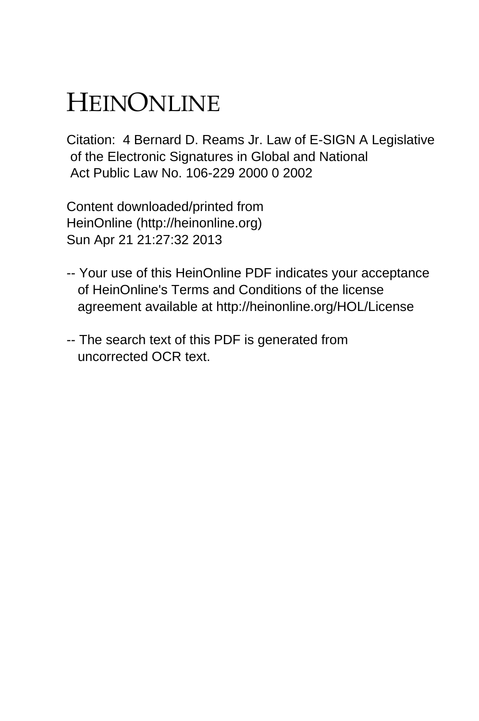# HEINONLINE

Citation: 4 Bernard D. Reams Jr. Law of E-SIGN A Legislative of the Electronic Signatures in Global and National Act Public Law No. 106-229 2000 0 2002

Content downloaded/printed from HeinOnline (http://heinonline.org) Sun Apr 21 21:27:32 2013

- -- Your use of this HeinOnline PDF indicates your acceptance of HeinOnline's Terms and Conditions of the license agreement available at http://heinonline.org/HOL/License
- -- The search text of this PDF is generated from uncorrected OCR text.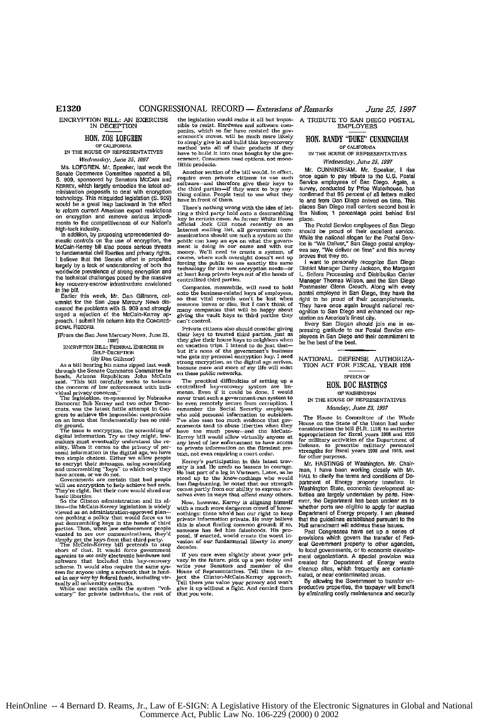Senate Commerce Committee reported a bill, S. 909, sponsored by Senators MCCAIN and **require even private citizens to** use such<br>KERREY, which largely embodies the latest ad-<br>KERREY, which largely embodies the latest ad-Senate Commerce Committee reported by Senators McCAIN and require even private citizens to use such Kenery, which largely embodies the latest ad- software-and therefore give their hystetic misguided legislation (S. 909) bi would be a *great* leap backward in the effort would be a great leap backward in the effort<br>to reform current American export restrictions — ting a third party hold onto a descrambling<br>on encryption, and remove, serious, impedi-— <sub>key in certain cases. As former</sub> White to reform current Antencan export restrictions ting a third party hold onto a descrambling<br>on encryption and remove serious impedi- key in certain cases. As former White House<br>ments to the competitiveness of our Nation's o

McCain-Kerrey bill also poses serious threats ment is doing in our name and with our<br>to fundamental civil liberties and privacy rights. money- We'll need to create a system, of I believe that the Senate effort is propelled course, where such oversight doesn't end up<br>largely by a lack of understanding of both the forcing the public to use exactly the same I existe that the Senate error is property concurs, many data between the same largely by a lack of understanding of both the forcing the public to use exactly the same worldwide prevalence of strong encryption and techni key recovery-escrow infrastructure envisioned<br>in the bill.

tossed the San Jose Mercury News discussed the problems with S. 909 and strongly urged a rejection of the McCain-Kerrey apurged a rejection **Of** the McCain-Kerrey ap. giving *the* vault keys to third parties they proach. **I** submit his column into the **CONRES-** can't contrel.

example characterized by the contraction in the digital age, we have the the the contraction in the digital age, we have the contraction and information in the digital age, we have the contraction and the contraction of th to encrypt their inessages, using scrambing<br>and unscrambling "keys" to which only they<br>have access or we do not

will **use** entryption to help achieve **bad ends.** ban flag-hurning, **he** noted that **our** strengin They're right. *But* their core would shred **our co es** partly from our ability to express ourbasic liberties.<br>So the Clinton administration and its al-

So the Clinton administration and its al-<br>lise-the McCain-Kerrey legislation is widely viewed as an administration-approved plan-<br>are pushing a policy that would force us to put descrambling keys in the hands of third<br>part

short **of** that. It would force government agencies to *use* only electronic hardware and If **you ce** even slightly about your pri-

ENCRYPTION BILL: AN EXERCISE the legislation would make it all but impos-<br>
IN DECEPTION sible to resist. Hardware and software com-<br>
The social paties, which so far have resisted the gov-HON. ZOE LOFGREN FIGHT STRONG SETTING THE HOLD TO CALIFORNIA THE HOLD OF CALIFORNIA THE HOLD TO THE HOLD THE HOLD THE HOLD THE HOLD THE HOLD THE HOLD THE HOLD THE HOLD THE HOLD THAT THE HOLD THE MAN THE HOLD THE MAN THE HO *Mednesday, June 25, 1997* ernment. Consumers need options, not mono-<br>Ms. LOFGREN. Mr. Speaker, last week the littlic products.<br>Another section of the bill would in effect.

high-ob **indad** t y. Internaet mailing list, all government **core-**In addiin, by yropoig toprenedeted **do-** munioations should use such a system so the meslic controls on the use of encryption, the public can keep an eye on what the govern-<br>meslic controls on the use of encryption, the public can keep an eye on what the govern-<br>McCain-Kerrey bill also poses serious threat

key recovery-escrow infrastructure envisioned<br>In the bill, the bill neek, Mr. Dan Gillmore, col- on the business-related keys of employees<br>Earlier this week, Mr. Dan Gillmore, col- on the vital records don't be lest when<br>u

Private citizens also should consider giving<br>their keys to trusted third parties, just as romo the San Jose Mercsey **Neoss,** Junse **Zs,** their keys to trusted third parties. Just as **1997]** they give their house keys **to** neighbors when ENCRYPTION BILL: FEDERA , EXERCISE IN on vacation trips. I intend to do just that-ShLF-DECEP'oN but it's none of the government's business *(By* Dan Gillmor) who gets my personal eneryption **key.** I need As a bill bearing his name ipped strong encryption. as the digital **agoe** arrim, ch ogh the Senate Comsmerce Coemist week **because** more **and** more of my life will *eist*

chromographic sensue Commuteur and measurements and the specific relations and the change of the change of the content of the contents of the contents of the contents of the contents of the contents of the contents of the The legislation. Co-sponsored by Nebraska mover trust such a government run system to Democrat Bob Kerrey and two other Democratic crisis, was the latest futile attempt in Come remember the Social Security employes gress The mass case, the mass case of the set of the set of the mass in the mass in the mass in the set of the set of the set of the set of the set of the set of the set of the set of the set of the set of the private set of th

*Governments Governments are extractly is stad. He needs no lessons in courage. He lost part of a leg in Vietnam. Later, as he stood up to the know-nothings who would be know-nothings who would* scale due to the non-normalings was been fighted comes partly from our ability to express our-<br>comes partly from our ability to express our-<br>Now, however. Kerrey is aligning himself

Now, nowever, Nearly as any with a much more dangerous crowd of know-<br>nothings: those who'd ban our right to keep<br>private information private. He may believe<br>this is about finding common ground; if so,<br>someone has field hi

If you care even slightly about your prime wave yin the future. pick up a pen today write your Senators are line flows of Representatives. Tell then to recover price is jet the Clinton-McCain-Kerrey approach. River it is u scheme. It would also require the same sys- write your Senators and member of the term for anyone using a network that is fund. House of Representatives. Tell them to return for anyone using a network that is fund. House o

**A** TRIBUTE TO SAN **DIEGO** POSTAL EMPLOYEES

### **HON. RANDY "DUKE" CUNNINGHAM**

IN THE HOUSE OF REPRESENTATIVES *Wednesday, June* **25, 1997**

**Mr.** CUNNINGHAM. **Mr.** Speaker, **I** rise once again io pay tdbute to the U.S. Postal Service employees **of** San Diego. Again, a survey, Conducted by Price Waterhouse, has confirmed **that 95** percenl **of** all **letters** mailed **to** and **from** Dan **Diego** ardved on time. This places **San** Diego **mail** carders second **best** in the Nation; **1** percentage poist behind first place.

The Postal Service employees **of** San Diego should be proud of their excellent service. While the national slogan for the Postal Service is "We Deliver," San Diego postal employ-<br>ees say, "We deliver on time" and this survey<br>proves that they do.<br>proves that they do.<br>I want to personally recognize San Diego

Distlc Manager **Danny** Jackson, the Margaret **L.** Sellers Processing **and** Distribulion Center Manager Thomas Wilson, and **the San Diego** Postmaster Glenn **Crouch.** Along **with** every postal employee in **San** Diego, they **have the** dght to **be** proud **of** their accomplishments. **They** have once again broughl **national** tenognition to **San** Diego and enhanced **our** reputation as America's finest city.

Every San Diegan should join me in ex-pressing gratitude **to** our Postal Service em-ployees in San Diego **and their** *commilment* **io** be **the** best of **Ihe** best.

NATIONAL DEFENSE AUTHORIZA-TION **ACT** FOR FISCAL YEAR **1998**

### **SPEECH** OF **HON. DOC HASTINGS**

OF **WASHINTON**

IN THE HOUSE OF REPRESENTATIVES *Monday,* June **23,** *997*

The House in Committee of the Whole<br>House on the State of the Union had under<br>consideration the bill (H.R. 1119) to authorize<br>appropriations for fiscal years 1998 and 1999<br>for military activities of the Department of Defense. **to** prescribe military personnel strengths for fiscal years **1998** and **1999, and** for other purposes.

Mr. HASTINGS of Washington, Mr. Chairman, I have been working closely with Mr.<br>HALL to clarify the terms and conditions of Deparment of Energy property transfers. In Washington State, economic development **ac**tivities are largely undertaken by ports. How**ever,** the Department has been **unclear** as **t** whether ports are eligible to apply for surplus Department of Energy property. **I** am pleased **that** the guidelines established pursuant **to the** Hall amendment will address these **Issues.** Past Congresses have **set up** a series **of**

provisions which **govern the** transfer **of** Federal Government property to **other** agencies, **to** local governments, Or to economic develop-ment organizations. **A** special provision was created for Department of Energy waste cleanup sites, which frequently are conami-nated, or near contaminated areas.

By allowing the Government to transfer **un**productive properties, the taxpayer will benefit by eliminating costly maintenance and security